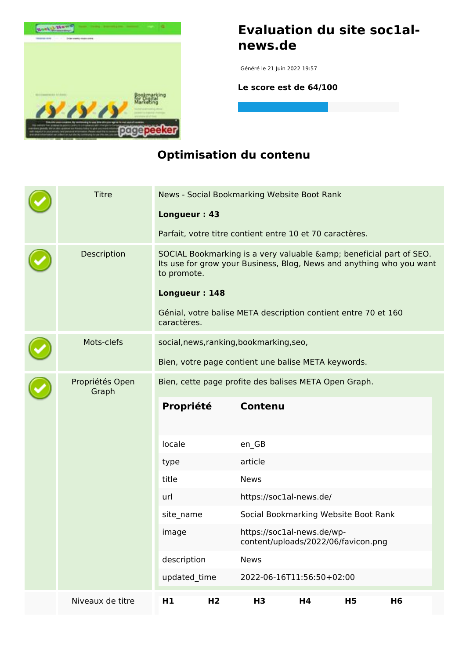

### **Evaluation du site soc1alnews.de**

Généré le 21 Juin 2022 19:57

**Le score est de 64/100**

### **Optimisation du contenu**

|  | <b>Titre</b>             |                                                     |                |                                          | News - Social Bookmarking Website Boot Rank                       |           |                                                                                                                                         |  |
|--|--------------------------|-----------------------------------------------------|----------------|------------------------------------------|-------------------------------------------------------------------|-----------|-----------------------------------------------------------------------------------------------------------------------------------------|--|
|  |                          | Longueur: 43                                        |                |                                          | Parfait, votre titre contient entre 10 et 70 caractères.          |           |                                                                                                                                         |  |
|  |                          |                                                     |                |                                          |                                                                   |           |                                                                                                                                         |  |
|  | Description              | to promote.                                         |                |                                          |                                                                   |           | SOCIAL Bookmarking is a very valuable & beneficial part of SEO.<br>Its use for grow your Business, Blog, News and anything who you want |  |
|  |                          | Longueur: 148                                       |                |                                          |                                                                   |           |                                                                                                                                         |  |
|  |                          | caractères.                                         |                |                                          | Génial, votre balise META description contient entre 70 et 160    |           |                                                                                                                                         |  |
|  | Mots-clefs               |                                                     |                | social, news, ranking, bookmarking, seo, |                                                                   |           |                                                                                                                                         |  |
|  |                          | Bien, votre page contient une balise META keywords. |                |                                          |                                                                   |           |                                                                                                                                         |  |
|  | Propriétés Open<br>Graph |                                                     |                |                                          | Bien, cette page profite des balises META Open Graph.             |           |                                                                                                                                         |  |
|  |                          | Propriété                                           |                | <b>Contenu</b>                           |                                                                   |           |                                                                                                                                         |  |
|  |                          | locale                                              |                | en_GB                                    |                                                                   |           |                                                                                                                                         |  |
|  |                          | type                                                |                | article                                  |                                                                   |           |                                                                                                                                         |  |
|  |                          | title                                               |                | <b>News</b>                              |                                                                   |           |                                                                                                                                         |  |
|  |                          | url                                                 |                | https://soc1al-news.de/                  |                                                                   |           |                                                                                                                                         |  |
|  |                          | site name                                           |                | Social Bookmarking Website Boot Rank     |                                                                   |           |                                                                                                                                         |  |
|  |                          | image                                               |                |                                          | https://soc1al-news.de/wp-<br>content/uploads/2022/06/favicon.png |           |                                                                                                                                         |  |
|  |                          | description                                         |                | <b>News</b>                              |                                                                   |           |                                                                                                                                         |  |
|  |                          | updated time                                        |                |                                          | 2022-06-16T11:56:50+02:00                                         |           |                                                                                                                                         |  |
|  | Niveaux de titre         | H1                                                  | H <sub>2</sub> | H <sub>3</sub>                           | H4                                                                | <b>H5</b> | H <sub>6</sub>                                                                                                                          |  |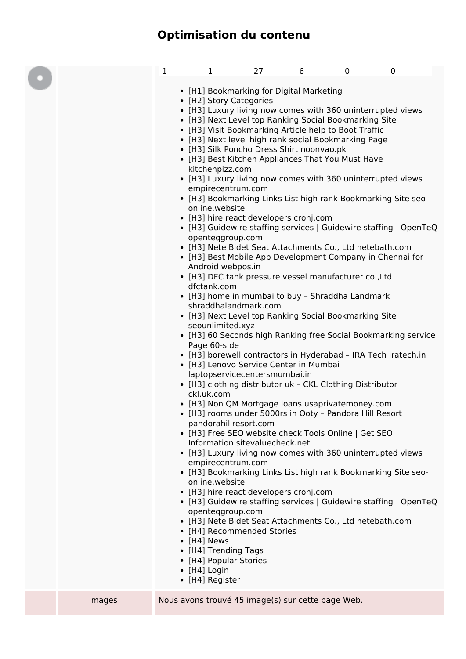# **Optimisation du contenu**

|        | 1 | $\mathbf{1}$<br>• [H1] Bookmarking for Digital Marketing<br>• [H2] Story Categories<br>• [H3] Luxury living now comes with 360 uninterrupted views<br>• [H3] Next Level top Ranking Social Bookmarking Site<br>• [H3] Visit Bookmarking Article help to Boot Traffic<br>• [H3] Next level high rank social Bookmarking Page<br>• [H3] Silk Poncho Dress Shirt noonvao.pk<br>• [H3] Best Kitchen Appliances That You Must Have<br>kitchenpizz.com<br>• [H3] Luxury living now comes with 360 uninterrupted views<br>empirecentrum.com<br>online.website<br>• [H3] hire react developers cronj.com<br>openteggroup.com<br>• [H3] Nete Bidet Seat Attachments Co., Ltd netebath.com<br>• [H3] Best Mobile App Development Company in Chennai for<br>Android webpos.in<br>• [H3] DFC tank pressure vessel manufacturer co., Ltd<br>dfctank.com<br>• [H3] home in mumbai to buy - Shraddha Landmark<br>shraddhalandmark.com<br>• [H3] Next Level top Ranking Social Bookmarking Site<br>seounlimited.xyz<br>Page 60-s.de<br>• [H3] Lenovo Service Center in Mumbai<br>laptopservicecentersmumbai.in<br>• [H3] clothing distributor uk - CKL Clothing Distributor<br>ckl.uk.com<br>• [H3] Non QM Mortgage loans usaprivatemoney.com<br>• [H3] rooms under 5000rs in Ooty - Pandora Hill Resort<br>pandorahillresort.com<br>• [H3] Free SEO website check Tools Online   Get SEO | 27 | 6 | 0 | $\mathbf 0$<br>• [H3] Bookmarking Links List high rank Bookmarking Site seo-<br>• [H3] Guidewire staffing services   Guidewire staffing   OpenTeQ<br>• [H3] 60 Seconds high Ranking free Social Bookmarking service<br>• [H3] borewell contractors in Hyderabad - IRA Tech iratech.in |  |
|--------|---|---------------------------------------------------------------------------------------------------------------------------------------------------------------------------------------------------------------------------------------------------------------------------------------------------------------------------------------------------------------------------------------------------------------------------------------------------------------------------------------------------------------------------------------------------------------------------------------------------------------------------------------------------------------------------------------------------------------------------------------------------------------------------------------------------------------------------------------------------------------------------------------------------------------------------------------------------------------------------------------------------------------------------------------------------------------------------------------------------------------------------------------------------------------------------------------------------------------------------------------------------------------------------------------------------------------------------------------------------------------------------|----|---|---|---------------------------------------------------------------------------------------------------------------------------------------------------------------------------------------------------------------------------------------------------------------------------------------|--|
|        |   | Information sitevaluecheck.net<br>• [H3] Luxury living now comes with 360 uninterrupted views<br>empirecentrum.com<br>online.website<br>• [H3] hire react developers cronj.com<br>openteggroup.com                                                                                                                                                                                                                                                                                                                                                                                                                                                                                                                                                                                                                                                                                                                                                                                                                                                                                                                                                                                                                                                                                                                                                                        |    |   |   | • [H3] Bookmarking Links List high rank Bookmarking Site seo-<br>• [H3] Guidewire staffing services   Guidewire staffing   OpenTeQ                                                                                                                                                    |  |
| Images |   | • [H3] Nete Bidet Seat Attachments Co., Ltd netebath.com<br>• [H4] Recommended Stories<br>$\bullet$ [H4] News<br>• [H4] Trending Tags<br>• [H4] Popular Stories<br>$\bullet$ [H4] Login<br>• [H4] Register<br>Nous avons trouvé 45 image(s) sur cette page Web.                                                                                                                                                                                                                                                                                                                                                                                                                                                                                                                                                                                                                                                                                                                                                                                                                                                                                                                                                                                                                                                                                                           |    |   |   |                                                                                                                                                                                                                                                                                       |  |
|        |   |                                                                                                                                                                                                                                                                                                                                                                                                                                                                                                                                                                                                                                                                                                                                                                                                                                                                                                                                                                                                                                                                                                                                                                                                                                                                                                                                                                           |    |   |   |                                                                                                                                                                                                                                                                                       |  |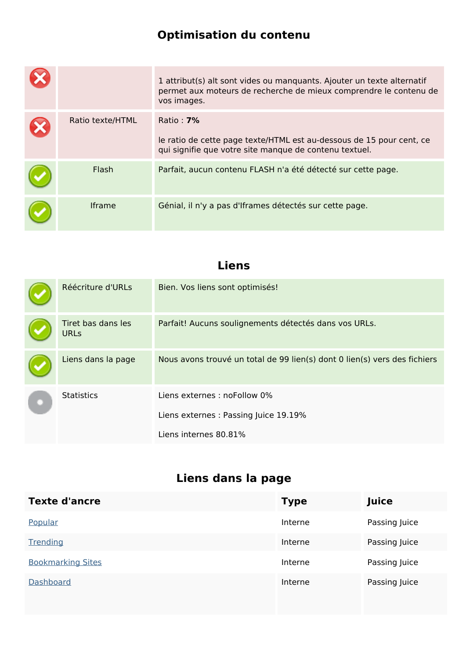### **Optimisation du contenu**

|                  | 1 attribut(s) alt sont vides ou manquants. Ajouter un texte alternatif<br>permet aux moteurs de recherche de mieux comprendre le contenu de<br>vos images. |
|------------------|------------------------------------------------------------------------------------------------------------------------------------------------------------|
| Ratio texte/HTML | Ratio: $7\%$<br>le ratio de cette page texte/HTML est au-dessous de 15 pour cent, ce<br>qui signifie que votre site manque de contenu textuel.             |
| Flash            | Parfait, aucun contenu FLASH n'a été détecté sur cette page.                                                                                               |
| <b>Iframe</b>    | Génial, il n'y a pas d'Iframes détectés sur cette page.                                                                                                    |

### **Liens**

| Réécriture d'URLs                 | Bien. Vos liens sont optimisés!                                           |  |  |
|-----------------------------------|---------------------------------------------------------------------------|--|--|
| Tiret bas dans les<br><b>URLs</b> | Parfait! Aucuns soulignements détectés dans vos URLs.                     |  |  |
| Liens dans la page                | Nous avons trouvé un total de 99 lien(s) dont 0 lien(s) vers des fichiers |  |  |
| <b>Statistics</b>                 | Liens externes : noFollow 0%                                              |  |  |
|                                   | Liens externes : Passing Juice 19.19%                                     |  |  |
|                                   | Liens internes 80.81%                                                     |  |  |

| <b>Texte d'ancre</b>     | <b>Type</b> | Juice         |
|--------------------------|-------------|---------------|
| Popular                  | Interne     | Passing Juice |
| Trending                 | Interne     | Passing Juice |
| <b>Bookmarking Sites</b> | Interne     | Passing Juice |
| <b>Dashboard</b>         | Interne     | Passing Juice |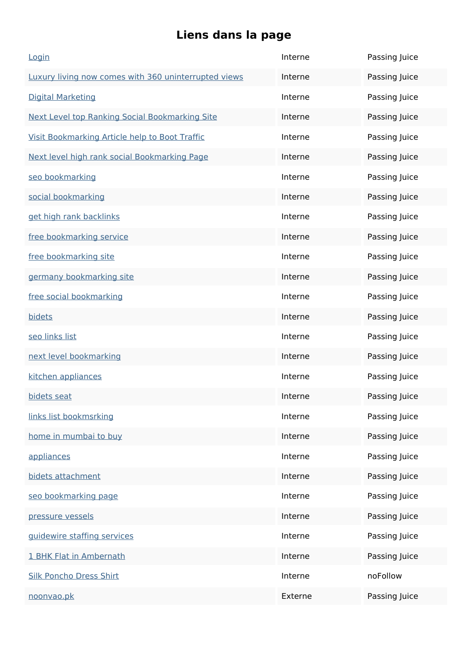| Login                                                 | Interne | Passing Juice |
|-------------------------------------------------------|---------|---------------|
| Luxury living now comes with 360 uninterrupted views  | Interne | Passing Juice |
| <b>Digital Marketing</b>                              | Interne | Passing Juice |
| <b>Next Level top Ranking Social Bookmarking Site</b> | Interne | Passing Juice |
| Visit Bookmarking Article help to Boot Traffic        | Interne | Passing Juice |
| Next level high rank social Bookmarking Page          | Interne | Passing Juice |
| seo bookmarking                                       | Interne | Passing Juice |
| social bookmarking                                    | Interne | Passing Juice |
| get high rank backlinks                               | Interne | Passing Juice |
| free bookmarking service                              | Interne | Passing Juice |
| free bookmarking site                                 | Interne | Passing Juice |
| germany bookmarking site                              | Interne | Passing Juice |
| free social bookmarking                               | Interne | Passing Juice |
| bidets                                                | Interne | Passing Juice |
| seo links list                                        | Interne | Passing Juice |
| next level bookmarking                                | Interne | Passing Juice |
| kitchen appliances                                    | Interne | Passing Juice |
| bidets seat                                           | Interne | Passing Juice |
| links list bookmsrking                                | Interne | Passing Juice |
| home in mumbai to buy                                 | Interne | Passing Juice |
| appliances                                            | Interne | Passing Juice |
| bidets attachment                                     | Interne | Passing Juice |
| seo bookmarking page                                  | Interne | Passing Juice |
| pressure vessels                                      | Interne | Passing Juice |
| guidewire staffing services                           | Interne | Passing Juice |
| 1 BHK Flat in Ambernath                               | Interne | Passing Juice |
| <b>Silk Poncho Dress Shirt</b>                        | Interne | noFollow      |
| noonvao.pk                                            | Externe | Passing Juice |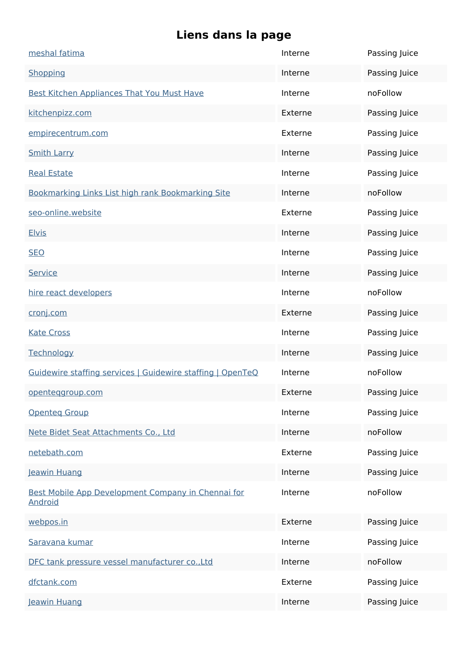| meshal fatima                                                        | Interne | Passing Juice |
|----------------------------------------------------------------------|---------|---------------|
| Shopping                                                             | Interne | Passing Juice |
| <b>Best Kitchen Appliances That You Must Have</b>                    | Interne | noFollow      |
| kitchenpizz.com                                                      | Externe | Passing Juice |
| empirecentrum.com                                                    | Externe | Passing Juice |
| <b>Smith Larry</b>                                                   | Interne | Passing Juice |
| <b>Real Estate</b>                                                   | Interne | Passing Juice |
| Bookmarking Links List high rank Bookmarking Site                    | Interne | noFollow      |
| seo-online.website                                                   | Externe | Passing Juice |
| <b>Elvis</b>                                                         | Interne | Passing Juice |
| <b>SEO</b>                                                           | Interne | Passing Juice |
| Service                                                              | Interne | Passing Juice |
| hire react developers                                                | Interne | noFollow      |
| cronj.com                                                            | Externe | Passing Juice |
| <b>Kate Cross</b>                                                    | Interne | Passing Juice |
| Technology                                                           | Interne | Passing Juice |
| Guidewire staffing services   Guidewire staffing   OpenTeQ           | Interne | noFollow      |
| openteggroup.com                                                     | Externe | Passing Juice |
| <b>Openteg Group</b>                                                 | Interne | Passing Juice |
| Nete Bidet Seat Attachments Co., Ltd                                 | Interne | noFollow      |
| netebath.com                                                         | Externe | Passing Juice |
| Jeawin Huang                                                         | Interne | Passing Juice |
| Best Mobile App Development Company in Chennai for<br><b>Android</b> | Interne | noFollow      |
| webpos.in                                                            | Externe | Passing Juice |
| Saravana kumar                                                       | Interne | Passing Juice |
| DFC tank pressure vessel manufacturer co., Ltd                       | Interne | noFollow      |
| dfctank.com                                                          | Externe | Passing Juice |
| Jeawin Huang                                                         | Interne | Passing Juice |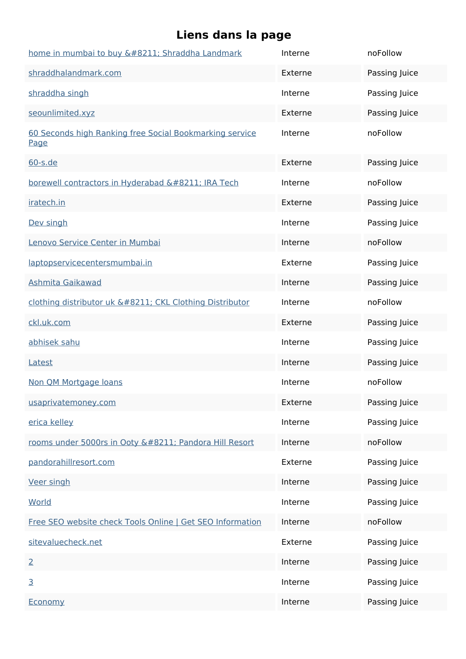| home in mumbai to buy – Shraddha Landmark                       | Interne | noFollow      |
|-----------------------------------------------------------------|---------|---------------|
| shraddhalandmark.com                                            | Externe | Passing Juice |
| shraddha singh                                                  | Interne | Passing Juice |
| seounlimited.xyz                                                | Externe | Passing Juice |
| 60 Seconds high Ranking free Social Bookmarking service<br>Page | Interne | noFollow      |
| $60 - s$ .de                                                    | Externe | Passing Juice |
| borewell contractors in Hyderabad – IRA Tech                    | Interne | noFollow      |
| iratech.in                                                      | Externe | Passing Juice |
| Dev singh                                                       | Interne | Passing Juice |
| Lenovo Service Center in Mumbai                                 | Interne | noFollow      |
| laptopservicecentersmumbai.in                                   | Externe | Passing Juice |
| Ashmita Gaikawad                                                | Interne | Passing Juice |
| clothing distributor uk – CKL Clothing Distributor              | Interne | noFollow      |
| ckl.uk.com                                                      | Externe | Passing Juice |
| abhisek sahu                                                    | Interne | Passing Juice |
| Latest                                                          | Interne | Passing Juice |
| Non QM Mortgage loans                                           | Interne | noFollow      |
| usaprivatemoney.com                                             | Externe | Passing Juice |
| erica kelley                                                    | Interne | Passing Juice |
| rooms under 5000rs in Ooty – Pandora Hill Resort                | Interne | noFollow      |
| pandorahillresort.com                                           | Externe | Passing Juice |
| <b>Veer singh</b>                                               | Interne | Passing Juice |
| World                                                           | Interne | Passing Juice |
| Free SEO website check Tools Online   Get SEO Information       | Interne | noFollow      |
| sitevaluecheck.net                                              | Externe | Passing Juice |
| $\overline{2}$                                                  | Interne | Passing Juice |
| $\overline{3}$                                                  | Interne | Passing Juice |
| Economy                                                         | Interne | Passing Juice |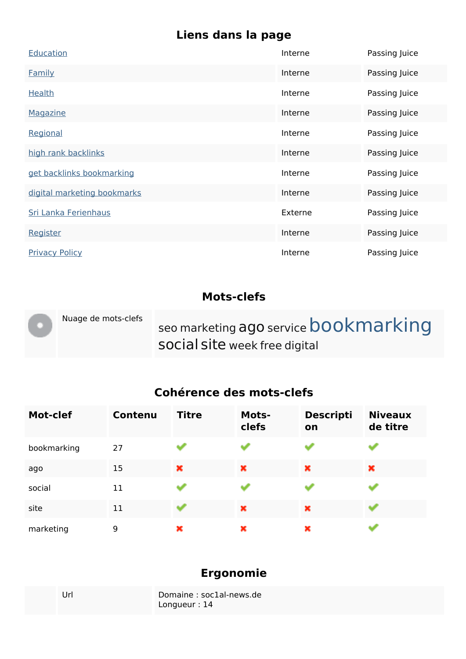| Education                   | Interne | Passing Juice |
|-----------------------------|---------|---------------|
| <b>Family</b>               | Interne | Passing Juice |
| <b>Health</b>               | Interne | Passing Juice |
| Magazine                    | Interne | Passing Juice |
| Regional                    | Interne | Passing Juice |
| high rank backlinks         | Interne | Passing Juice |
| get backlinks bookmarking   | Interne | Passing Juice |
| digital marketing bookmarks | Interne | Passing Juice |
| Sri Lanka Ferienhaus        | Externe | Passing Juice |
| Register                    | Interne | Passing Juice |
| <b>Privacy Policy</b>       | Interne | Passing Juice |

#### **Mots-clefs**

|  | Nuage de mots-clefs | seo marketing ago service bookmarking<br>social site week free digital |
|--|---------------------|------------------------------------------------------------------------|
|--|---------------------|------------------------------------------------------------------------|

### **Cohérence des mots-clefs**

| <b>Mot-clef</b> | <b>Contenu</b> | <b>Titre</b> | <b>Mots-</b><br>clefs | <b>Descripti</b><br>on | <b>Niveaux</b><br>de titre |
|-----------------|----------------|--------------|-----------------------|------------------------|----------------------------|
| bookmarking     | 27             |              | an a                  |                        |                            |
| ago             | 15             | ×            | ×                     | ×                      | ×                          |
| social          | 11             |              |                       |                        |                            |
| site            | 11             | an al        | ×                     | ×                      |                            |
| marketing       | 9              | ×            | ×                     | ×                      |                            |

### **Ergonomie**

| Url | Domaine: soc1al-news.de |
|-----|-------------------------|
|     | Longueur : $14$         |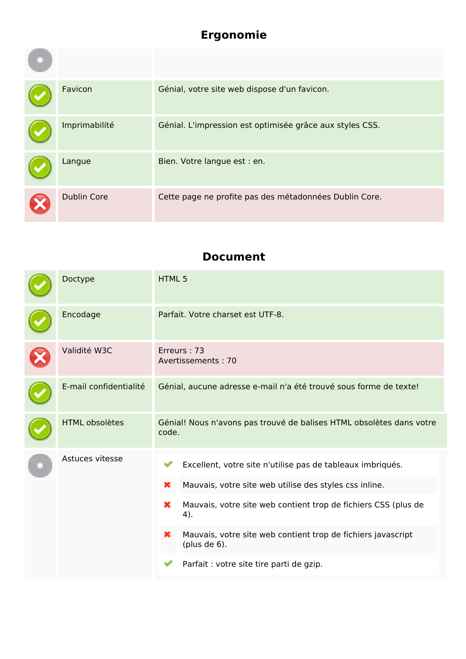# **Ergonomie**

| Favicon            | Génial, votre site web dispose d'un favicon.             |
|--------------------|----------------------------------------------------------|
| Imprimabilité      | Génial. L'impression est optimisée grâce aux styles CSS. |
| Langue             | Bien. Votre langue est : en.                             |
| <b>Dublin Core</b> | Cette page ne profite pas des métadonnées Dublin Core.   |

#### **Document**

|  | Doctype                | <b>HTML5</b>                                                                  |                                                                                 |  |
|--|------------------------|-------------------------------------------------------------------------------|---------------------------------------------------------------------------------|--|
|  | Encodage               | Parfait. Votre charset est UTF-8.                                             |                                                                                 |  |
|  | Validité W3C           | Erreurs: 73<br>Avertissements: 70                                             |                                                                                 |  |
|  | E-mail confidentialité | Génial, aucune adresse e-mail n'a été trouvé sous forme de texte!             |                                                                                 |  |
|  | <b>HTML obsolètes</b>  | Génial! Nous n'avons pas trouvé de balises HTML obsolètes dans votre<br>code. |                                                                                 |  |
|  | Astuces vitesse        |                                                                               | Excellent, votre site n'utilise pas de tableaux imbriqués.                      |  |
|  |                        | ×                                                                             | Mauvais, votre site web utilise des styles css inline.                          |  |
|  |                        | ×                                                                             | Mauvais, votre site web contient trop de fichiers CSS (plus de<br>4).           |  |
|  |                        | ×                                                                             | Mauvais, votre site web contient trop de fichiers javascript<br>(plus de $6$ ). |  |
|  |                        |                                                                               | Parfait : votre site tire parti de gzip.                                        |  |